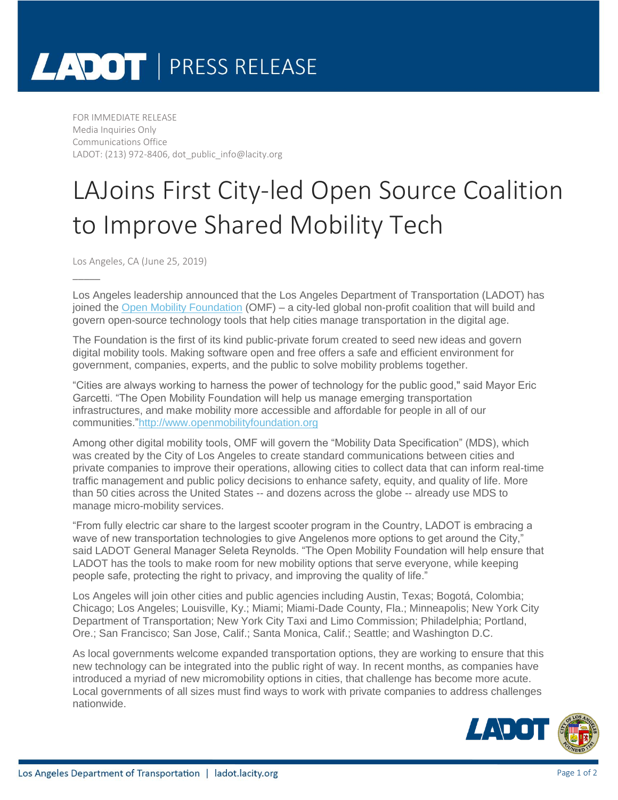# LADOT | PRESS RELEASE

FOR IMMEDIATE RELEASE Media Inquiries Only Communications Office LADOT: (213) 972-8406, dot\_public\_info@lacity.org

### LAJoins First City-led Open Source Coalition to Improve Shared Mobility Tech

Los Angeles, CA (June 25, 2019)

\_\_\_\_\_

Los Angeles leadership announced that the Los Angeles Department of Transportation (LADOT) has joined the [Open Mobility Foundation](https://lacity.us12.list-manage.com/track/click?u=a3ce2558303aee7a5d709b084&id=a45852b264&e=c0121df56c) (OMF) – a city-led global non-profit coalition that will build and govern open-source technology tools that help cities manage transportation in the digital age.

The Foundation is the first of its kind public-private forum created to seed new ideas and govern digital mobility tools. Making software open and free offers a safe and efficient environment for government, companies, experts, and the public to solve mobility problems together.

"Cities are always working to harness the power of technology for the public good," said Mayor Eric Garcetti. "The Open Mobility Foundation will help us manage emerging transportation infrastructures, and make mobility more accessible and affordable for people in all of our communities.["http://www.openmobilityfoundation.org](https://lacity.us12.list-manage.com/track/click?u=a3ce2558303aee7a5d709b084&id=f2f7fcdc25&e=c0121df56c)

Among other digital mobility tools, OMF will govern the "Mobility Data Specification" (MDS), which was created by the City of Los Angeles to create standard communications between cities and private companies to improve their operations, allowing cities to collect data that can inform real-time traffic management and public policy decisions to enhance safety, equity, and quality of life. More than 50 cities across the United States -- and dozens across the globe -- already use MDS to manage micro-mobility services.

"From fully electric car share to the largest scooter program in the Country, LADOT is embracing a wave of new transportation technologies to give Angelenos more options to get around the City," said LADOT General Manager Seleta Reynolds. "The Open Mobility Foundation will help ensure that LADOT has the tools to make room for new mobility options that serve everyone, while keeping people safe, protecting the right to privacy, and improving the quality of life."

Los Angeles will join other cities and public agencies including Austin, Texas; Bogotá, Colombia; Chicago; Los Angeles; Louisville, Ky.; Miami; Miami-Dade County, Fla.; Minneapolis; New York City Department of Transportation; New York City Taxi and Limo Commission; Philadelphia; Portland, Ore.; San Francisco; San Jose, Calif.; Santa Monica, Calif.; Seattle; and Washington D.C.

As local governments welcome expanded transportation options, they are working to ensure that this new technology can be integrated into the public right of way. In recent months, as companies have introduced a myriad of new micromobility options in cities, that challenge has become more acute. Local governments of all sizes must find ways to work with private companies to address challenges nationwide.